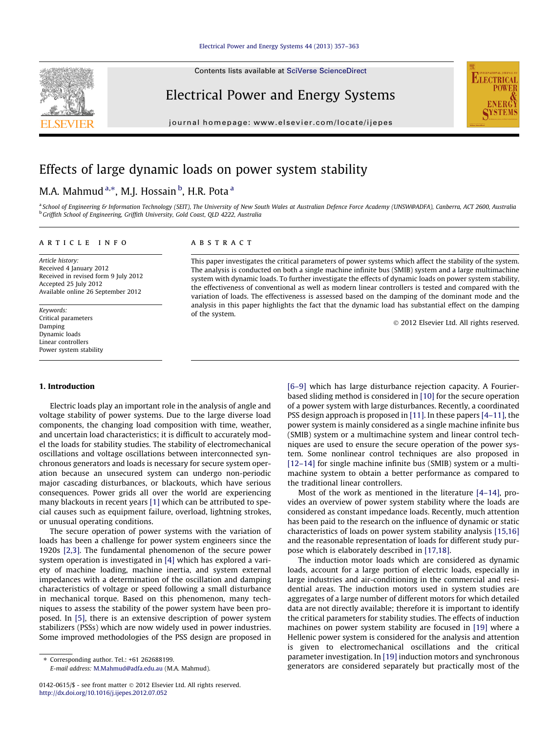#### [Electrical Power and Energy Systems 44 \(2013\) 357–363](http://dx.doi.org/10.1016/j.ijepes.2012.07.052)

Contents lists available at [SciVerse ScienceDirect](http://www.sciencedirect.com/science/journal/01420615)

## Electrical Power and Energy Systems

journal homepage: [www.elsevier.com/locate/ijepes](http://www.elsevier.com/locate/ijepes)



## Effects of large dynamic loads on power system stability

### M.A. Mahmud <sup>a,</sup>\*, M.J. Hossain <sup>b</sup>, H.R. Pota <sup>a</sup>

a School of Engineering & Information Technology (SEIT), The University of New South Wales at Australian Defence Force Academy (UNSW@ADFA), Canberra, ACT 2600, Australia b Griffith School of Engineering, Griffith University, Gold Coast, QLD 4222, Australia

#### article info

Article history: Received 4 January 2012 Received in revised form 9 July 2012 Accepted 25 July 2012 Available online 26 September 2012

Keywords: Critical parameters Damping Dynamic loads Linear controllers Power system stability

#### 1. Introduction

Electric loads play an important role in the analysis of angle and voltage stability of power systems. Due to the large diverse load components, the changing load composition with time, weather, and uncertain load characteristics; it is difficult to accurately model the loads for stability studies. The stability of electromechanical oscillations and voltage oscillations between interconnected synchronous generators and loads is necessary for secure system operation because an unsecured system can undergo non-periodic major cascading disturbances, or blackouts, which have serious consequences. Power grids all over the world are experiencing many blackouts in recent years [\[1\]](#page--1-0) which can be attributed to special causes such as equipment failure, overload, lightning strokes, or unusual operating conditions.

The secure operation of power systems with the variation of loads has been a challenge for power system engineers since the 1920s [\[2,3\]](#page--1-0). The fundamental phenomenon of the secure power system operation is investigated in [\[4\]](#page--1-0) which has explored a variety of machine loading, machine inertia, and system external impedances with a determination of the oscillation and damping characteristics of voltage or speed following a small disturbance in mechanical torque. Based on this phenomenon, many techniques to assess the stability of the power system have been proposed. In [\[5\],](#page--1-0) there is an extensive description of power system stabilizers (PSSs) which are now widely used in power industries. Some improved methodologies of the PSS design are proposed in

E-mail address: [M.Mahmud@adfa.edu.au](mailto:M.Mahmud@adfa.edu.au) (M.A. Mahmud).

#### **ABSTRACT**

This paper investigates the critical parameters of power systems which affect the stability of the system. The analysis is conducted on both a single machine infinite bus (SMIB) system and a large multimachine system with dynamic loads. To further investigate the effects of dynamic loads on power system stability, the effectiveness of conventional as well as modern linear controllers is tested and compared with the variation of loads. The effectiveness is assessed based on the damping of the dominant mode and the analysis in this paper highlights the fact that the dynamic load has substantial effect on the damping of the system.

- 2012 Elsevier Ltd. All rights reserved.

[\[6–9\]](#page--1-0) which has large disturbance rejection capacity. A Fourierbased sliding method is considered in [\[10\]](#page--1-0) for the secure operation of a power system with large disturbances. Recently, a coordinated PSS design approach is proposed in [\[11\]](#page--1-0). In these papers [\[4–11\],](#page--1-0) the power system is mainly considered as a single machine infinite bus (SMIB) system or a multimachine system and linear control techniques are used to ensure the secure operation of the power system. Some nonlinear control techniques are also proposed in [\[12–14\]](#page--1-0) for single machine infinite bus (SMIB) system or a multimachine system to obtain a better performance as compared to the traditional linear controllers.

Most of the work as mentioned in the literature [\[4–14\]](#page--1-0), provides an overview of power system stability where the loads are considered as constant impedance loads. Recently, much attention has been paid to the research on the influence of dynamic or static characteristics of loads on power system stability analysis [\[15,16\]](#page--1-0) and the reasonable representation of loads for different study purpose which is elaborately described in [\[17,18\].](#page--1-0)

The induction motor loads which are considered as dynamic loads, account for a large portion of electric loads, especially in large industries and air-conditioning in the commercial and residential areas. The induction motors used in system studies are aggregates of a large number of different motors for which detailed data are not directly available; therefore it is important to identify the critical parameters for stability studies. The effects of induction machines on power system stability are focused in [\[19\]](#page--1-0) where a Hellenic power system is considered for the analysis and attention is given to electromechanical oscillations and the critical parameter investigation. In [\[19\]](#page--1-0) induction motors and synchronous generators are considered separately but practically most of the

<sup>⇑</sup> Corresponding author. Tel.: +61 262688199.

<sup>0142-0615/\$ -</sup> see front matter © 2012 Elsevier Ltd. All rights reserved. <http://dx.doi.org/10.1016/j.ijepes.2012.07.052>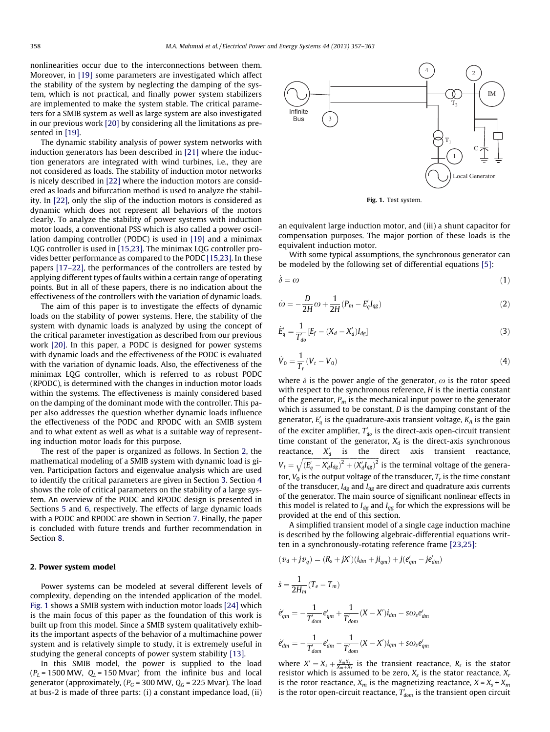nonlinearities occur due to the interconnections between them. Moreover, in [\[19\]](#page--1-0) some parameters are investigated which affect the stability of the system by neglecting the damping of the system, which is not practical, and finally power system stabilizers are implemented to make the system stable. The critical parameters for a SMIB system as well as large system are also investigated in our previous work [\[20\]](#page--1-0) by considering all the limitations as pre-sented in [\[19\].](#page--1-0)

The dynamic stability analysis of power system networks with induction generators has been described in [\[21\]](#page--1-0) where the induction generators are integrated with wind turbines, i.e., they are not considered as loads. The stability of induction motor networks is nicely described in [\[22\]](#page--1-0) where the induction motors are considered as loads and bifurcation method is used to analyze the stability. In [\[22\]](#page--1-0), only the slip of the induction motors is considered as dynamic which does not represent all behaviors of the motors clearly. To analyze the stability of power systems with induction motor loads, a conventional PSS which is also called a power oscillation damping controller (PODC) is used in [\[19\]](#page--1-0) and a minimax LQG controller is used in [\[15,23\]](#page--1-0). The minimax LQG controller provides better performance as compared to the PODC [\[15,23\].](#page--1-0) In these papers [\[17–22\],](#page--1-0) the performances of the controllers are tested by applying different types of faults within a certain range of operating points. But in all of these papers, there is no indication about the effectiveness of the controllers with the variation of dynamic loads.

The aim of this paper is to investigate the effects of dynamic loads on the stability of power systems. Here, the stability of the system with dynamic loads is analyzed by using the concept of the critical parameter investigation as described from our previous work [\[20\]](#page--1-0). In this paper, a PODC is designed for power systems with dynamic loads and the effectiveness of the PODC is evaluated with the variation of dynamic loads. Also, the effectiveness of the minimax LQG controller, which is referred to as robust PODC (RPODC), is determined with the changes in induction motor loads within the systems. The effectiveness is mainly considered based on the damping of the dominant mode with the controller. This paper also addresses the question whether dynamic loads influence the effectiveness of the PODC and RPODC with an SMIB system and to what extent as well as what is a suitable way of representing induction motor loads for this purpose.

The rest of the paper is organized as follows. In Section 2, the mathematical modeling of a SMIB system with dynamic load is given. Participation factors and eigenvalue analysis which are used to identify the critical parameters are given in Section [3.](#page--1-0) Section [4](#page--1-0) shows the role of critical parameters on the stability of a large system. An overview of the PODC and RPODC design is presented in Sections [5](#page--1-0) and [6](#page--1-0), respectively. The effects of large dynamic loads with a PODC and RPODC are shown in Section [7.](#page--1-0) Finally, the paper is concluded with future trends and further recommendation in Section [8.](#page--1-0)

#### 2. Power system model

Power systems can be modeled at several different levels of complexity, depending on the intended application of the model. Fig. 1 shows a SMIB system with induction motor loads [\[24\]](#page--1-0) which is the main focus of this paper as the foundation of this work is built up from this model. Since a SMIB system qualitatively exhibits the important aspects of the behavior of a multimachine power system and is relatively simple to study, it is extremely useful in studying the general concepts of power system stability [\[13\]](#page--1-0).

In this SMIB model, the power is supplied to the load  $(P_L = 1500 \text{ MW}, Q_L = 150 \text{ M} \text{var})$  from the infinite bus and local generator (approximately,  $(P_G = 300 \text{ MW}, Q_G = 225 \text{ M} \text{var})$ ). The load at bus-2 is made of three parts: (i) a constant impedance load, (ii)



Fig. 1. Test system.

an equivalent large induction motor, and (iii) a shunt capacitor for compensation purposes. The major portion of these loads is the equivalent induction motor.

With some typical assumptions, the synchronous generator can be modeled by the following set of differential equations [\[5\]](#page--1-0):

$$
\dot{\delta} = \omega \tag{1}
$$

$$
\dot{\omega} = -\frac{D}{2H}\omega + \frac{1}{2H}(P_m - E_q'I_{qg})\tag{2}
$$

$$
\dot{E}'_q = \frac{1}{T'_{do}} [E_f - (X_d - X'_d) I_{dg}]
$$
\n(3)

$$
\dot{V}_0 = \frac{1}{T_r} (V_t - V_0) \tag{4}
$$

where  $\delta$  is the power angle of the generator,  $\omega$  is the rotor speed with respect to the synchronous reference, H is the inertia constant of the generator,  $P_m$  is the mechanical input power to the generator which is assumed to be constant,  $D$  is the damping constant of the generator,  $E_q'$  is the quadrature-axis transient voltage,  $K_A$  is the gain of the exciter amplifier,  $T'_{do}$  is the direct-axis open-circuit transient time constant of the generator,  $X_d$  is the direct-axis synchronous reactance,  $X'_d$  is the direct axis transient reactance,  $V_t = \sqrt{(E'_q - X'_d I_{dg})^2 + (X'_d I_{gg})^2}$  is the terminal voltage of the generator,  $V_0$  is the output voltage of the transducer,  $T_r$  is the time constant of the transducer,  $I_{dg}$  and  $I_{qg}$  are direct and quadrature axis currents of the generator. The main source of significant nonlinear effects in this model is related to  $I_{dg}$  and  $I_{qg}$  for which the expressions will be provided at the end of this section.

A simplified transient model of a single cage induction machine is described by the following algebraic-differential equations written in a synchronously-rotating reference frame [\[23,25\]](#page--1-0):

$$
(v_d + jv_q) = (R_s + jX')(i_{dm} + ji_{qm}) + j(e'_{qm} - je'_{dm})
$$
  
\n
$$
\dot{s} = \frac{1}{2H_m}(T_e - T_m)
$$
  
\n
$$
\dot{e}'_{qm} = -\frac{1}{T'_{dom}}e'_{qm} + \frac{1}{T'_{dom}}(X - X')i_{dm} - s\omega_s e'_{dm}
$$
  
\n
$$
\dot{e}'_{dm} = -\frac{1}{T'_{dom}}e'_{dm} - \frac{1}{T'_{dom}}(X - X')i_{qm} + s\omega_s e'_{qm}
$$

where  $X' = X_s + \frac{X_m X_r}{X_m + X_r}$  is the transient reactance,  $R_s$  is the stator resistor which is assumed to be zero,  $X_s$  is the stator reactance,  $X_r$ is the rotor reactance,  $X_m$  is the magnetizing reactance,  $X = X_s + X_m$ is the rotor open-circuit reactance,  $T'_{dom}$  is the transient open circuit